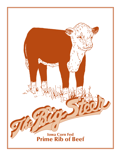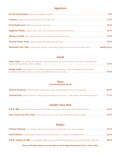## **Appetizers**

|                                                                                                             | 9.95 |
|-------------------------------------------------------------------------------------------------------------|------|
|                                                                                                             |      |
|                                                                                                             |      |
|                                                                                                             |      |
|                                                                                                             |      |
|                                                                                                             |      |
| Maryland Crab Cakes jumbo lump crabcakes made fresh to order. Served with red remoulade sauce  market price |      |

## **Salads**

| Steak Salad 6 oz. prime grade sirloin slices atop mixed greens, red onion, tomatoes, mixed sliced vegetables and<br>23.95 |       |  |  |
|---------------------------------------------------------------------------------------------------------------------------|-------|--|--|
| Wedge Salad crisp wedge of iceberg lettuce topped with balsamic glaze, thick cut smoked bacon, tomatoes,                  | 10.95 |  |  |

### **Pasta** *Served with garlic bread*

| Seafood Pasta shrimp, fresh sea scallops and jumbo lump crab tossed in a white lobster cream sauce with spices  27.95 |  |
|-----------------------------------------------------------------------------------------------------------------------|--|

## **Quality Iowa Pork**

## **Poultry**

| <b>B.B.Q. Chicken &amp; Ribs</b> a combination platter with our grilled BBQ chicken breast and fall off the bone BBQ ribs 28.95 |  |
|---------------------------------------------------------------------------------------------------------------------------------|--|

*Pork and Poultry dinners served with our fresh baked bread and choice of two sides.*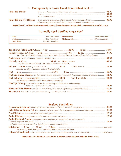## **Our Specialty ~ Iowa's Finest Prime Rib of Beef**

| <b>Prime Rib of Beef</b> |                                                                            |       |
|--------------------------|----------------------------------------------------------------------------|-------|
|                          |                                                                            | 39.95 |
|                          | substitute two pan seared fresh scallops for jumbo shrimp for market price |       |

*Available with a side of our house made creamy jalapeño sauce, horseradish or creamy horseradish sauce.*

## **Naturally Aged Certified Angus Beef**

| top of lowa sirloin sautéed in garlic butter, wine, Italian herbs and spices. Served with sautéed mushrooms     |       |
|-----------------------------------------------------------------------------------------------------------------|-------|
|                                                                                                                 | 45.95 |
| a very flavorful version of the KC strip. Cut from the center of the loin.                                      |       |
| abundant marbling makes this a rich and flavorful favorite                                                      |       |
|                                                                                                                 | 40.95 |
| Filet and Stuffed Shrimp 6 oz. filet served with crab and cream cheese stuffed jumbo prawns in herbs and butter | 42.95 |
| beef tenderloins sautéed in garlic butter, wine and seasonings                                                  |       |
| Filet Tips Deburgo 8 oz. beef tenderlion tips sautéed in garlic butter, wine, and seasonings.                   | 34.95 |
|                                                                                                                 |       |
|                                                                                                                 |       |

### **Seafood Specialities**

| <b>Broiled Seafood Combo</b> three jumbo prawns and three pan seared fresh sea scallops served in<br>substitute three pan seared fresh scallops for jumbo shrimp for market price  | 39.95 |
|------------------------------------------------------------------------------------------------------------------------------------------------------------------------------------|-------|
| <b>Lobster Tail</b> $\sim$ 6 oz. $\sim$ 10 oz. $\sim$ 12 oz. $\sim$ manufacture 10 ox. The set price<br>we serve only South African cold water white lobster; lemon and hot butter |       |
|                                                                                                                                                                                    |       |

*Beef and Seafood dinners served with our fresh baked bread and choice of two sides.*